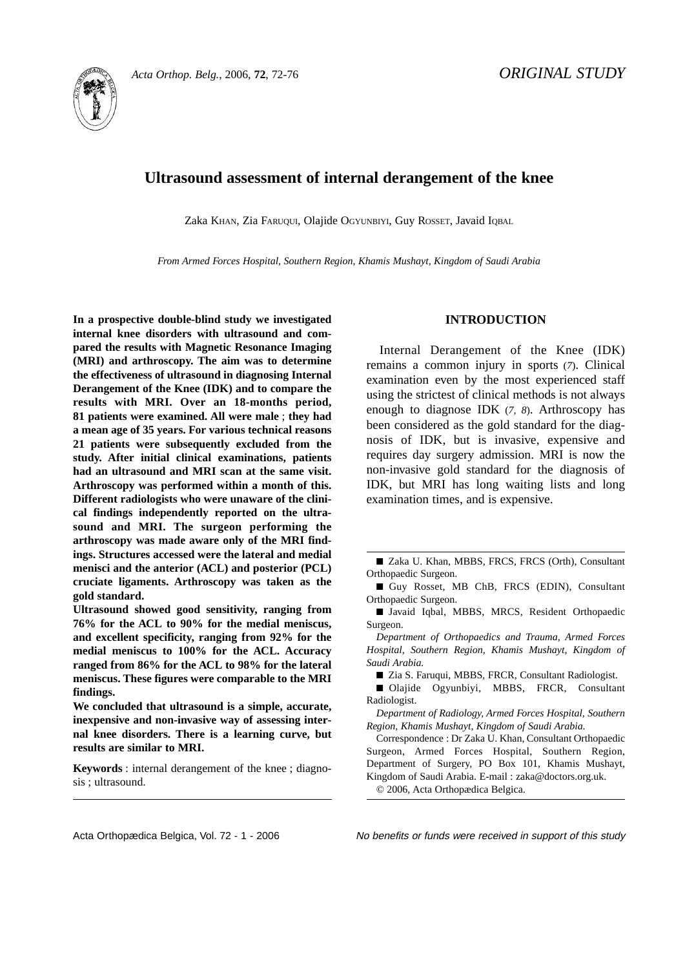

# **Ultrasound assessment of internal derangement of the knee**

Zaka KHAN, Zia FARUQUI, Olajide OGYUNBIYI, Guy ROSSET, Javaid IQBAL

*From Armed Forces Hospital, Southern Region, Khamis Mushayt, Kingdom of Saudi Arabia*

**In a prospective double-blind study we investigated internal knee disorders with ultrasound and compared the results with Magnetic Resonance Imaging (MRI) and arthroscopy. The aim was to determine the effectiveness of ultrasound in diagnosing Internal Derangement of the Knee (IDK) and to compare the results with MRI. Over an 18-months period, 81 patients were examined. All were male** ; **they had a mean age of 35 years. For various technical reasons 21 patients were subsequently excluded from the study. After initial clinical examinations, patients had an ultrasound and MRI scan at the same visit. Arthroscopy was performed within a month of this. Different radiologists who were unaware of the clinical findings independently reported on the ultrasound and MRI. The surgeon performing the arthroscopy was made aware only of the MRI findings. Structures accessed were the lateral and medial menisci and the anterior (ACL) and posterior (PCL) cruciate ligaments. Arthroscopy was taken as the gold standard.** 

**Ultrasound showed good sensitivity, ranging from 76% for the ACL to 90% for the medial meniscus, and excellent specificity, ranging from 92% for the medial meniscus to 100% for the ACL. Accuracy ranged from 86% for the ACL to 98% for the lateral meniscus. These figures were comparable to the MRI findings.**

**We concluded that ultrasound is a simple, accurate, inexpensive and non-invasive way of assessing internal knee disorders. There is a learning curve, but results are similar to MRI.**

**Keywords** : internal derangement of the knee ; diagnosis ; ultrasound.

# **INTRODUCTION**

Internal Derangement of the Knee (IDK) remains a common injury in sports (*7*). Clinical examination even by the most experienced staff using the strictest of clinical methods is not always enough to diagnose IDK (*7, <sup>8</sup>*). Arthroscopy has been considered as the gold standard for the diagnosis of IDK, but is invasive, expensive and requires day surgery admission. MRI is now the non-invasive gold standard for the diagnosis of IDK, but MRI has long waiting lists and long examination times, and is expensive.

■ Guy Rosset, MB ChB, FRCS (EDIN), Consultant Orthopaedic Surgeon.

■ Javaid Iqbal, MBBS, MRCS, Resident Orthopaedic Surgeon.

*Department of Orthopaedics and Trauma, Armed Forces Hospital, Southern Region, Khamis Mushayt, Kingdom of Saudi Arabia.*

■ Zia S. Faruqui, MBBS, FRCR, Consultant Radiologist.

■ Olajide Ogyunbiyi, MBBS, FRCR, Consultant Radiologist.

*Department of Radiology, Armed Forces Hospital, Southern Region, Khamis Mushayt, Kingdom of Saudi Arabia.*

Correspondence : Dr Zaka U. Khan, Consultant Orthopaedic Surgeon, Armed Forces Hospital, Southern Region, Department of Surgery, PO Box 101, Khamis Mushayt, Kingdom of Saudi Arabia. E-mail : zaka@doctors.org.uk. © 2006, Acta Orthopædica Belgica.

Acta Orthopædica Belgica, Vol. 72 - 1 - 2006 No benefits or funds were received in support of this study

<sup>■</sup> Zaka U. Khan, MBBS, FRCS, FRCS (Orth), Consultant Orthopaedic Surgeon.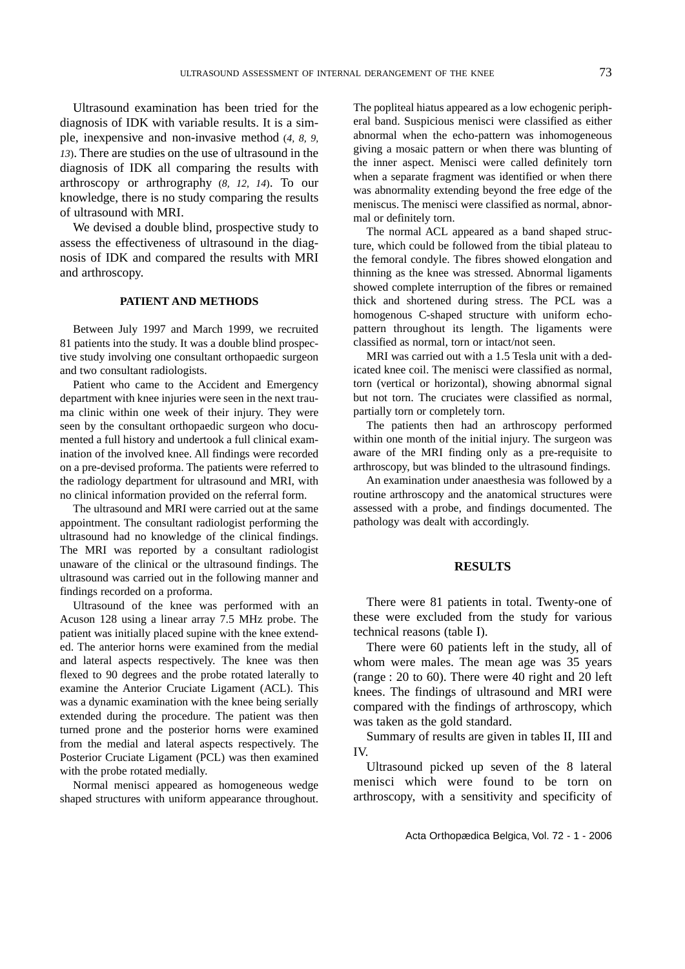Ultrasound examination has been tried for the diagnosis of IDK with variable results. It is a simple, inexpensive and non-invasive method (*4, 8, 9, <sup>13</sup>*). There are studies on the use of ultrasound in the diagnosis of IDK all comparing the results with arthroscopy or arthrography (*8, 12, <sup>14</sup>*). To our knowledge, there is no study comparing the results of ultrasound with MRI.

We devised a double blind, prospective study to assess the effectiveness of ultrasound in the diagnosis of IDK and compared the results with MRI and arthroscopy.

## **PATIENT AND METHODS**

Between July 1997 and March 1999, we recruited 81 patients into the study. It was a double blind prospective study involving one consultant orthopaedic surgeon and two consultant radiologists.

Patient who came to the Accident and Emergency department with knee injuries were seen in the next trauma clinic within one week of their injury. They were seen by the consultant orthopaedic surgeon who documented a full history and undertook a full clinical examination of the involved knee. All findings were recorded on a pre-devised proforma. The patients were referred to the radiology department for ultrasound and MRI, with no clinical information provided on the referral form.

The ultrasound and MRI were carried out at the same appointment. The consultant radiologist performing the ultrasound had no knowledge of the clinical findings. The MRI was reported by a consultant radiologist unaware of the clinical or the ultrasound findings. The ultrasound was carried out in the following manner and findings recorded on a proforma.

Ultrasound of the knee was performed with an Acuson 128 using a linear array 7.5 MHz probe. The patient was initially placed supine with the knee extended. The anterior horns were examined from the medial and lateral aspects respectively. The knee was then flexed to 90 degrees and the probe rotated laterally to examine the Anterior Cruciate Ligament (ACL). This was a dynamic examination with the knee being serially extended during the procedure. The patient was then turned prone and the posterior horns were examined from the medial and lateral aspects respectively. The Posterior Cruciate Ligament (PCL) was then examined with the probe rotated medially.

Normal menisci appeared as homogeneous wedge shaped structures with uniform appearance throughout. The popliteal hiatus appeared as a low echogenic peripheral band. Suspicious menisci were classified as either abnormal when the echo-pattern was inhomogeneous giving a mosaic pattern or when there was blunting of the inner aspect. Menisci were called definitely torn when a separate fragment was identified or when there was abnormality extending beyond the free edge of the meniscus. The menisci were classified as normal, abnormal or definitely torn.

The normal ACL appeared as a band shaped structure, which could be followed from the tibial plateau to the femoral condyle. The fibres showed elongation and thinning as the knee was stressed. Abnormal ligaments showed complete interruption of the fibres or remained thick and shortened during stress. The PCL was a homogenous C-shaped structure with uniform echopattern throughout its length. The ligaments were classified as normal, torn or intact/not seen.

MRI was carried out with a 1.5 Tesla unit with a dedicated knee coil. The menisci were classified as normal, torn (vertical or horizontal), showing abnormal signal but not torn. The cruciates were classified as normal, partially torn or completely torn.

The patients then had an arthroscopy performed within one month of the initial injury. The surgeon was aware of the MRI finding only as a pre-requisite to arthroscopy, but was blinded to the ultrasound findings.

An examination under anaesthesia was followed by a routine arthroscopy and the anatomical structures were assessed with a probe, and findings documented. The pathology was dealt with accordingly.

## **RESULTS**

There were 81 patients in total. Twenty-one of these were excluded from the study for various technical reasons (table I).

There were 60 patients left in the study, all of whom were males. The mean age was 35 years (range : 20 to 60). There were 40 right and 20 left knees. The findings of ultrasound and MRI were compared with the findings of arthroscopy, which was taken as the gold standard.

Summary of results are given in tables II, III and IV.

Ultrasound picked up seven of the 8 lateral menisci which were found to be torn on arthroscopy, with a sensitivity and specificity of

Acta Orthopædica Belgica, Vol. 72 - 1 - 2006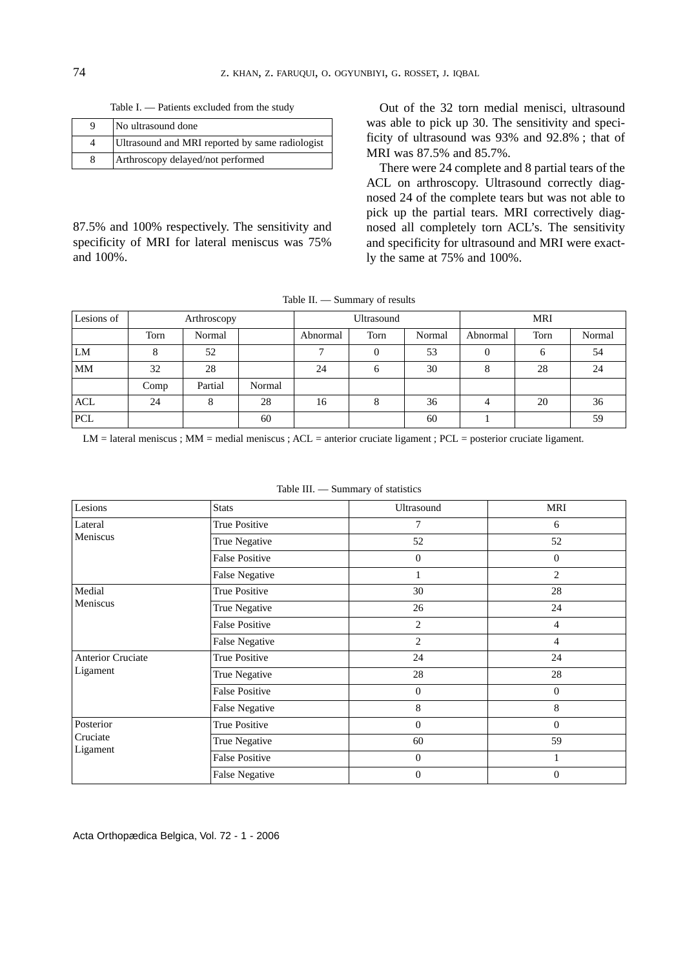Table I. — Patients excluded from the study

| Q | No ultrasound done                              |
|---|-------------------------------------------------|
|   | Ultrasound and MRI reported by same radiologist |
| 8 | Arthroscopy delayed/not performed               |

87.5% and 100% respectively. The sensitivity and specificity of MRI for lateral meniscus was 75% and 100%.

Out of the 32 torn medial menisci, ultrasound was able to pick up 30. The sensitivity and specificity of ultrasound was 93% and 92.8% ; that of MRI was 87.5% and 85.7%.

There were 24 complete and 8 partial tears of the ACL on arthroscopy. Ultrasound correctly diagnosed 24 of the complete tears but was not able to pick up the partial tears. MRI correctively diagnosed all completely torn ACL's. The sensitivity and specificity for ultrasound and MRI were exactly the same at 75% and 100%.

Table II. — Summary of results

| Lesions of | Arthroscopy |         |        |          | Ultrasound |        | <b>MRI</b> |      |        |  |
|------------|-------------|---------|--------|----------|------------|--------|------------|------|--------|--|
|            | Torn        | Normal  |        | Abnormal | Torn       | Normal | Abnormal   | Torn | Normal |  |
| LM         |             | 52      |        |          | $\Omega$   | 53     | 0          | 6    | 54     |  |
| MM         | 32          | 28      |        | 24       | 6          | 30     | 8          | 28   | 24     |  |
|            | Comp        | Partial | Normal |          |            |        |            |      |        |  |
| <b>ACL</b> | 24          | 8       | 28     | 16       | 8          | 36     |            | 20   | 36     |  |
| PCL        |             |         | 60     |          |            | 60     |            |      | 59     |  |

LM = lateral meniscus ; MM = medial meniscus ; ACL = anterior cruciate ligament ; PCL = posterior cruciate ligament.

| Table III. | Summary of statistics |  |
|------------|-----------------------|--|
|------------|-----------------------|--|

| Lesions              | <b>Stats</b>          | Ultrasound       | MRI            |  |
|----------------------|-----------------------|------------------|----------------|--|
| Lateral              | True Positive         | 7                | 6              |  |
| Meniscus             | True Negative         | 52               | 52             |  |
|                      | <b>False Positive</b> | $\mathbf{0}$     | $\overline{0}$ |  |
|                      | <b>False Negative</b> | $\mathbf{1}$     | $\overline{2}$ |  |
| Medial               | True Positive         | 30               | 28             |  |
| Meniscus             | True Negative         | 26               | 24             |  |
|                      | <b>False Positive</b> | $\overline{2}$   | $\overline{4}$ |  |
|                      | <b>False Negative</b> | $\overline{c}$   | 4              |  |
| Anterior Cruciate    | True Positive         | 24               | 24             |  |
| Ligament             | True Negative         | 28               | 28             |  |
|                      | <b>False Positive</b> | $\theta$         | $\theta$       |  |
|                      | <b>False Negative</b> | 8                | 8              |  |
| Posterior            | True Positive         | $\boldsymbol{0}$ | $\mathbf{0}$   |  |
| Cruciate<br>Ligament | True Negative         | 60               | 59             |  |
|                      | <b>False Positive</b> | $\mathbf{0}$     | 1              |  |
|                      | <b>False Negative</b> | $\mathbf{0}$     | $\mathbf{0}$   |  |

Acta Orthopædica Belgica, Vol. 72 - 1 - 2006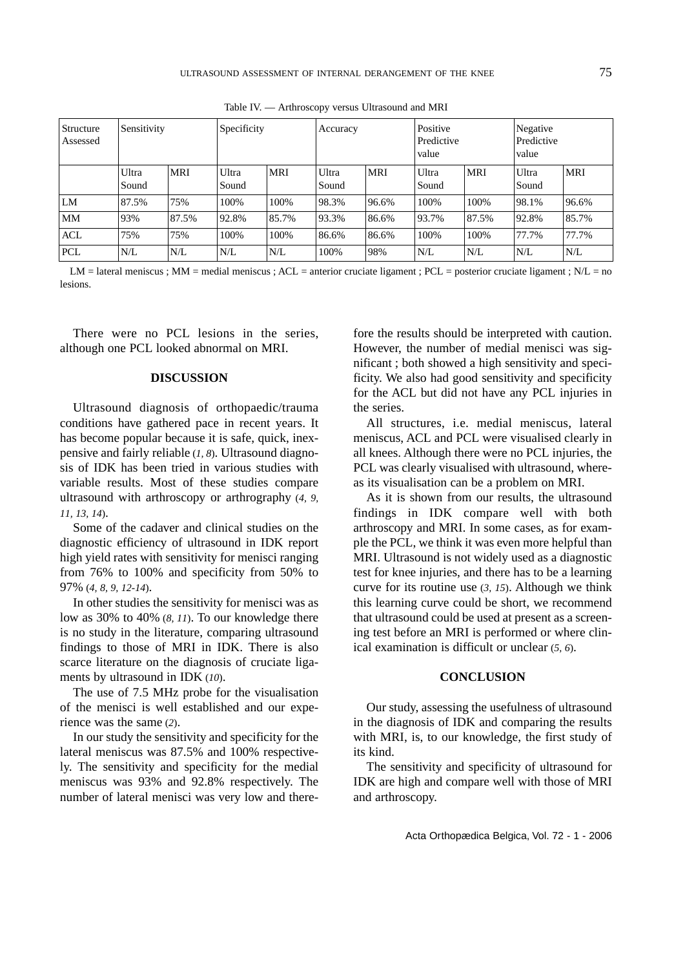| Structure<br>Assessed | Sensitivity    |            | Specificity    |            | Accuracy       |            | Positive<br>Predictive<br>value |       | Negative<br>Predictive<br>value |            |
|-----------------------|----------------|------------|----------------|------------|----------------|------------|---------------------------------|-------|---------------------------------|------------|
|                       | Ultra<br>Sound | <b>MRI</b> | Ultra<br>Sound | <b>MRI</b> | Ultra<br>Sound | <b>MRI</b> | Ultra<br>Sound                  | MRI   | Ultra<br>Sound                  | <b>MRI</b> |
| LM                    | 87.5%          | 75%        | 100%           | 100%       | 98.3%          | 96.6%      | 100%                            | 100%  | 98.1%                           | 96.6%      |
| <b>MM</b>             | 93%            | 87.5%      | 92.8%          | 85.7%      | 93.3%          | 86.6%      | 93.7%                           | 87.5% | 92.8%                           | 85.7%      |
| <b>ACL</b>            | 75%            | 75%        | 100%           | 100%       | 86.6%          | 86.6%      | 100%                            | 100%  | 77.7%                           | 77.7%      |
| <b>PCL</b>            | N/L            | N/L        | N/L            | N/L        | 100%           | 98%        | N/L                             | N/L   | N/L                             | N/L        |

Table IV. — Arthroscopy versus Ultrasound and MRI

LM = lateral meniscus ; MM = medial meniscus ; ACL = anterior cruciate ligament ; PCL = posterior cruciate ligament ; N/L = no lesions.

There were no PCL lesions in the series, although one PCL looked abnormal on MRI.

#### **DISCUSSION**

Ultrasound diagnosis of orthopaedic/trauma conditions have gathered pace in recent years. It has become popular because it is safe, quick, inexpensive and fairly reliable (*1, <sup>8</sup>*). Ultrasound diagnosis of IDK has been tried in various studies with variable results. Most of these studies compare ultrasound with arthroscopy or arthrography (*4, 9, 11, 13, 14*).

Some of the cadaver and clinical studies on the diagnostic efficiency of ultrasound in IDK report high yield rates with sensitivity for menisci ranging from 76% to 100% and specificity from 50% to 97% (*4, 8, 9, 12-14*).

In other studies the sensitivity for menisci was as low as 30% to 40% (*8, <sup>11</sup>*). To our knowledge there is no study in the literature, comparing ultrasound findings to those of MRI in IDK. There is also scarce literature on the diagnosis of cruciate ligaments by ultrasound in IDK (*10*).

The use of 7.5 MHz probe for the visualisation of the menisci is well established and our experience was the same (*2*).

In our study the sensitivity and specificity for the lateral meniscus was 87.5% and 100% respectively. The sensitivity and specificity for the medial meniscus was 93% and 92.8% respectively. The number of lateral menisci was very low and there-

fore the results should be interpreted with caution. However, the number of medial menisci was sig nificant ; both showed a high sensitivity and speci ficity. We also had good sensitivity and specificity for the ACL but did not have any PCL injuries in the series. All structures, i.e. medial meniscus, lateral

meniscus, ACL and PCL were visualised clearly in all knees. Although there were no PCL injuries, the PCL was clearly visualised with ultrasound, where as its visualisation can be a problem on MRI.

As it is shown from our results, the ultrasound findings in IDK compare well with both arthroscopy and MRI. In some cases, as for exam ple the PCL, we think it was even more helpful than MRI. Ultrasound is not widely used as a diagnostic test for knee injuries, and there has to be a learning curve for its routine use (*3, <sup>15</sup>*). Although we think this learning curve could be short, we recommend that ultrasound could be used at present as a screen ing test before an MRI is performed or where clin ical examination is difficult or unclear (*5, <sup>6</sup>*).

## **CONCLUSION**

Our study, assessing the usefulness of ultrasound in the diagnosis of IDK and comparing the results with MRI, is, to our knowledge, the first study of its kind.

The sensitivity and specificity of ultrasound for IDK are high and compare well with those of MRI and arthroscopy.